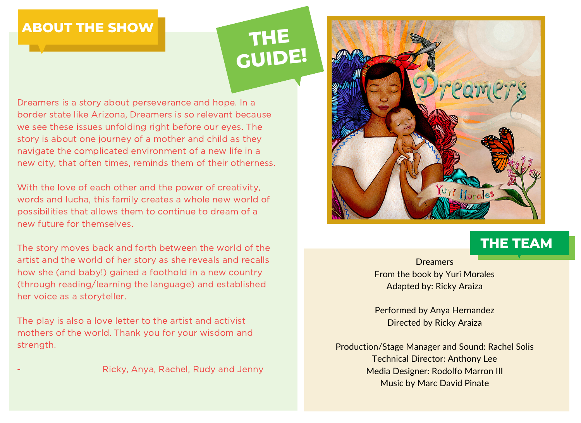# **ABOUT THE SHOW**

# **THE GUIDE!**

Dreamers is a story about perseverance and hope. In a border state like Arizona, Dreamers is so relevant because we see these issues unfolding right before our eyes. The story is about one journey of a mother and child as they navigate the complicated environment of a new life in a new city, that often times, reminds them of their otherness.

With the love of each other and the power of creativity, words and lucha, this family creates a whole new world of possibilities that allows them to continue to dream of a new future for themselves.

The story moves back and forth between the world of the artist and the world of her story as she reveals and recalls how she (and baby!) gained a foothold in a new country (through reading/learning the language) and established her voice as a storyteller.

The play is also a love letter to the artist and activist mothers of the world. Thank you for your wisdom and strength.

- Ricky, Anya, Rachel, Rudy and Jenny



# **THE TEAM**

**Dreamers** From the book by Yuri Morales Adapted by: Ricky Araiza

Performed by Anya Hernandez Directed by Ricky Araiza

Production/Stage Manager and Sound: Rachel Solis Technical Director: Anthony Lee Media Designer: Rodolfo Marron III Music by Marc David Pinate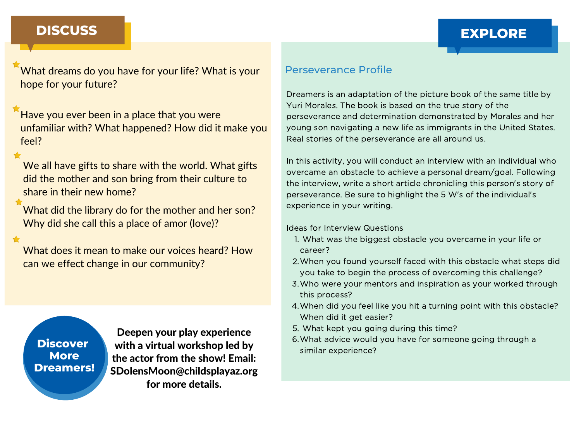### **EXPLORE GUIDE AND STREET DISCUSS EXPLORE**

What dreams do you have for your life? What is your hope for your future?

Have you ever been in a place that you were unfamiliar with? What happened? How did it make you feel?

We all have gifts to share with the world. What gifts did the mother and son bring from their culture to share in their new home?

What did the library do for the mother and her son? Why did she call this a place of amor (love)?

What does it mean to make our voices heard? How can we effect change in our community?

Scan the Question of the Question of the Question of the Question of the Question of the Question of the Question of the Question of the Question of the Question of the Question of the Question of the Question of the Quest [Dreamers!](https://tinyurl.com/y7842nrk) **Discover More**

Deepen your play experience with a virtual workshop led by the actor from the show! Email: [SDolensMoon@childsplayaz.org](https://tinyurl.com/y7842nrk) for more details.

### Perseverance Profile

Dreamers is an adaptation of the picture book of the same title by Yuri Morales. The book is based on the true story of the perseverance and determination demonstrated by Morales and her young son navigating a new life as immigrants in the United States. Real stories of the perseverance are all around us.

In this activity, you will conduct an interview with an individual who overcame an obstacle to achieve a personal dream/goal. Following the interview, write a short article chronicling this person's story of perseverance. Be sure to highlight the 5 W's of the individual's experience in your writing.

Ideas for Interview Questions

- What was the biggest obstacle you overcame in your life or 1. career?
- When you found yourself faced with this obstacle what steps did 2. you take to begin the process of overcoming this challenge?
- Who were your mentors and inspiration as your worked through 3. this process?
- When did you feel like you hit a turning point with this obstacle? 4. When did it get easier?
- What kept you going during this time? 5.
- What advice would you have for someone going through a 6. similar experience?